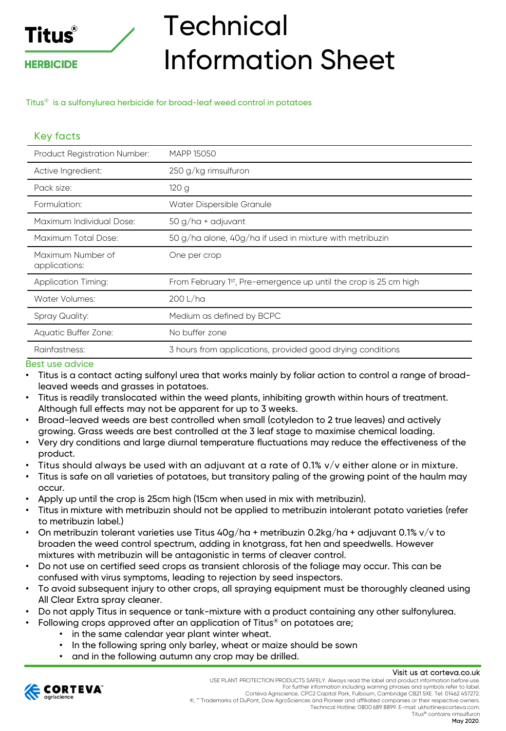# **Titus**®

### **HERBICIDE**

## **Technical** Information Sheet

Titus® is a sulfonylurea herbicide for broad-leaf weed control in potatoes

## Key facts

| <b>Product Registration Number:</b> | <b>MAPP 15050</b>                                                             |  |  |
|-------------------------------------|-------------------------------------------------------------------------------|--|--|
| Active Ingredient:                  | 250 g/kg rimsulfuron                                                          |  |  |
| Pack size:                          | 120g                                                                          |  |  |
| Formulation:                        | Water Dispersible Granule                                                     |  |  |
| Maximum Individual Dose:            | $50 g/ha + adjuvant$                                                          |  |  |
| Maximum Total Dose:                 | 50 g/ha alone, 40g/ha if used in mixture with metribuzin                      |  |  |
| Maximum Number of<br>applications:  | One per crop                                                                  |  |  |
| <b>Application Timing:</b>          | From February 1 <sup>st</sup> , Pre-emergence up until the crop is 25 cm high |  |  |
| Water Volumes:                      | 200 L/ha                                                                      |  |  |
| Spray Quality:                      | Medium as defined by BCPC                                                     |  |  |
| Aquatic Buffer Zone:                | No buffer zone                                                                |  |  |
| Rainfastness:                       | 3 hours from applications, provided good drying conditions                    |  |  |

#### Best use advice

- Titus is a contact acting sulfonyl urea that works mainly by foliar action to control a range of broadleaved weeds and grasses in potatoes.
- Titus is readily translocated within the weed plants, inhibiting growth within hours of treatment. Although full effects may not be apparent for up to 3 weeks.
- Broad-leaved weeds are best controlled when small (cotyledon to 2 true leaves) and actively growing. Grass weeds are best controlled at the 3 leaf stage to maximise chemical loading.
- Very dry conditions and large diurnal temperature fluctuations may reduce the effectiveness of the product.
- Titus should always be used with an adjuvant at a rate of 0.1% v/v either alone or in mixture.
- Titus is safe on all varieties of potatoes, but transitory paling of the growing point of the haulm may occur.
- Apply up until the crop is 25cm high (15cm when used in mix with metribuzin).
- Titus in mixture with metribuzin should not be applied to metribuzin intolerant potato varieties (refer to metribuzin label.)
- On metribuzin tolerant varieties use Titus 40g/ha + metribuzin 0.2kg/ha + adjuvant 0.1% v/v to broaden the weed control spectrum, adding in knotgrass, fat hen and speedwells. However mixtures with metribuzin will be antagonistic in terms of cleaver control.
- Do not use on certified seed crops as transient chlorosis of the foliage may occur. This can be confused with virus symptoms, leading to rejection by seed inspectors.
- To avoid subsequent injury to other crops, all spraying equipment must be thoroughly cleaned using All Clear Extra spray cleaner.
- Do not apply Titus in sequence or tank-mixture with a product containing any other sulfonylurea.
	- Following crops approved after an application of Titus® on potatoes are;
		- in the same calendar year plant winter wheat.
		- In the following spring only barley, wheat or maize should be sown
		- and in the following autumn any crop may be drilled.